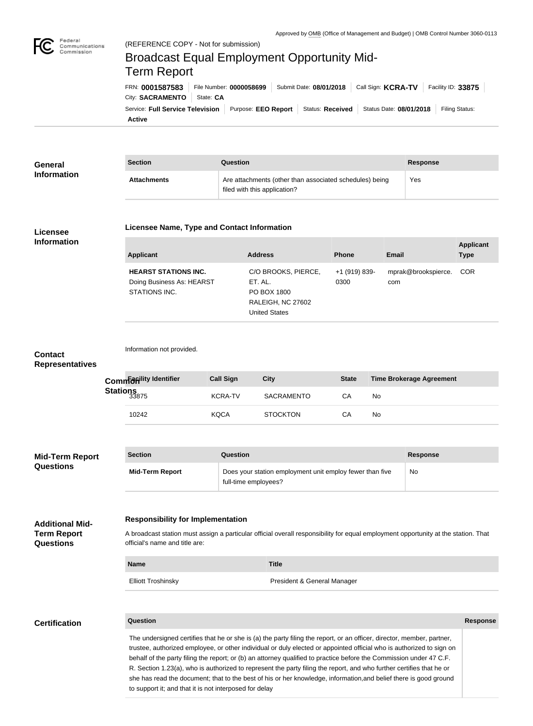

Federal

# Commission Broadcast Equal Employment Opportunity Mid-Term ReportFRN: **0001587583** File Number: **0000058699** Submit Date: **08/01/2018** Call Sign: **KCRA-TV** Facility ID: **33875** City: **SACRAMENTO** | State: CA Service: Full Service Television | Purpose: EEO Report | Status: Received | Status Date: 08/01/2018 | Filing Status:

**Active**

| General            | <b>Section</b>     | Question                                                                                | <b>Response</b> |
|--------------------|--------------------|-----------------------------------------------------------------------------------------|-----------------|
| <b>Information</b> | <b>Attachments</b> | Are attachments (other than associated schedules) being<br>filed with this application? | Yes             |

#### **Licensee Information**

#### **Licensee Name, Type and Contact Information**

| <b>Applicant</b>                                                          | <b>Address</b>                                                                             | <b>Phone</b>          | Email                          | Applicant<br><b>Type</b> |
|---------------------------------------------------------------------------|--------------------------------------------------------------------------------------------|-----------------------|--------------------------------|--------------------------|
| <b>HEARST STATIONS INC.</b><br>Doing Business As: HEARST<br>STATIONS INC. | C/O BROOKS, PIERCE,<br>ET. AL.<br>PO BOX 1800<br>RALEIGH, NC 27602<br><b>United States</b> | +1 (919) 839-<br>0300 | mprak@brookspierce. COR<br>com |                          |

## **Contact Representatives**

| Commaniity Identifier         | <b>Call Sign</b> | City              | <b>State</b> | <b>Time Brokerage Agreement</b> |
|-------------------------------|------------------|-------------------|--------------|---------------------------------|
| Stations<br>33 <sub>875</sub> | <b>KCRA-TV</b>   | <b>SACRAMENTO</b> | СA           | No                              |
| 10242                         | <b>KQCA</b>      | <b>STOCKTON</b>   | СA           | No                              |

| <b>Mid-Term Report</b> | <b>Section</b>         | Question                                                                         | <b>Response</b> |
|------------------------|------------------------|----------------------------------------------------------------------------------|-----------------|
| <b>Questions</b>       | <b>Mid-Term Report</b> | Does your station employment unit employ fewer than five<br>full-time employees? | No.             |

|  |  | <b>Responsibility for Implementation</b> |
|--|--|------------------------------------------|
|--|--|------------------------------------------|

Information not provided.

A broadcast station must assign a particular official overall responsibility for equal employment opportunity at the station. That official's name and title are:

| <b>Name</b>               | <b>Title</b>                |
|---------------------------|-----------------------------|
| <b>Elliott Troshinsky</b> | President & General Manager |

**Additional Mid-Term Report Questions**

**Question Response**

**Applicant** 

The undersigned certifies that he or she is (a) the party filing the report, or an officer, director, member, partner, trustee, authorized employee, or other individual or duly elected or appointed official who is authorized to sign on behalf of the party filing the report; or (b) an attorney qualified to practice before the Commission under 47 C.F. R. Section 1.23(a), who is authorized to represent the party filing the report, and who further certifies that he or she has read the document; that to the best of his or her knowledge, information,and belief there is good ground to support it; and that it is not interposed for delay